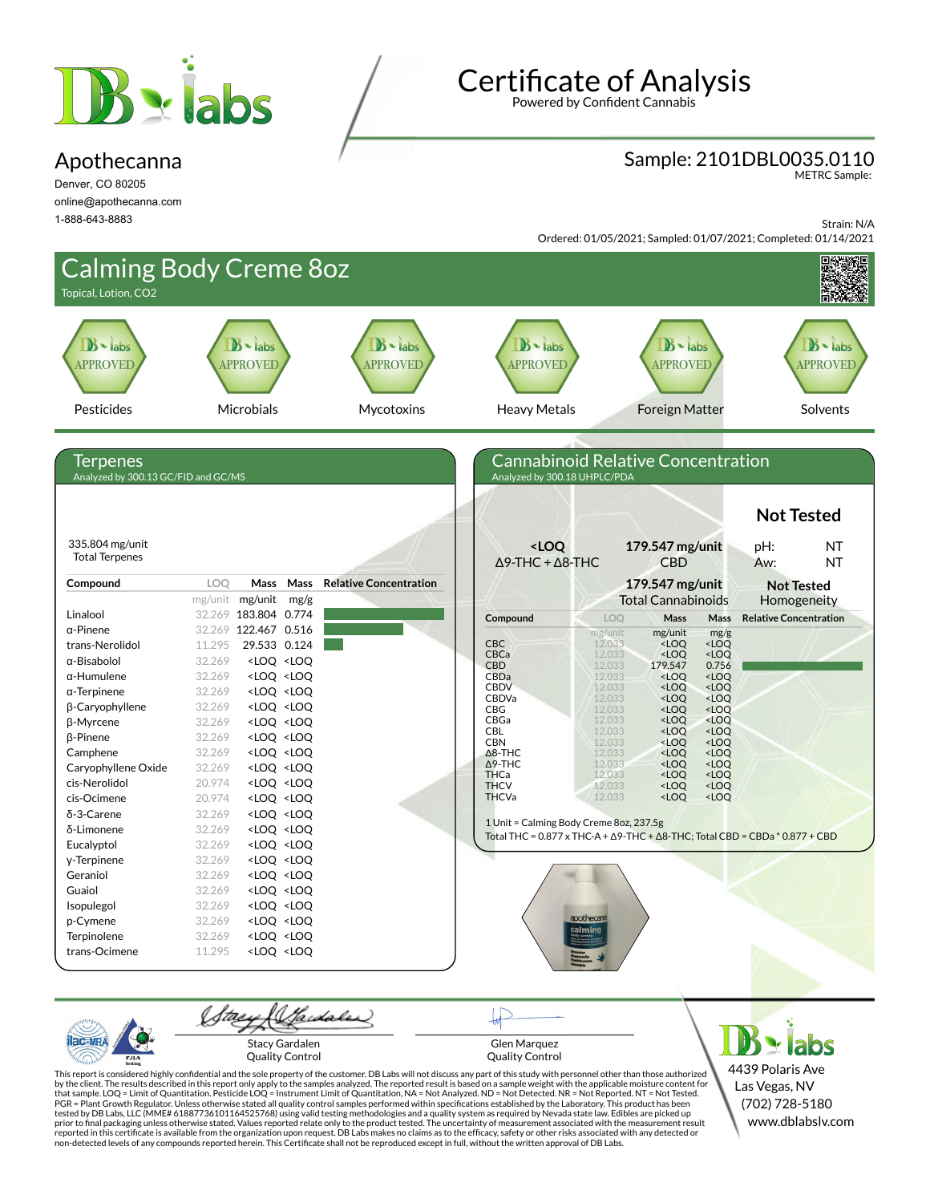

#### Apothecanna

Denver, CO 80205 online@apothecanna.com 1-888-643-8883

# **Certificate of Analysis**

Powered by Confident Cannabis

### Sample: 2101DBL0035.0110

METRC Sample:

Strain: N/A

Ordered: 01/05/2021; Sampled: 01/07/2021; Completed: 01/14/2021



Quality Control

PJL/

Glen Marquez Quality Control

4439 Polaris Ave Las Vegas, NV (702) 728-5180 www.dblabslv.com

This report is considered highly confidential and the sole property of the customer. DB Labs will not discuss any part of this study with personnel other than those authorized<br>by the client. The results described in this r tested by DB Labs, LLC (MME# 61887736101164525768) using valid testing methodologies and a quality system as required by Nevada state law. Edibles are picked up<br>prior to final packaging unless otherwise stated. Values repo